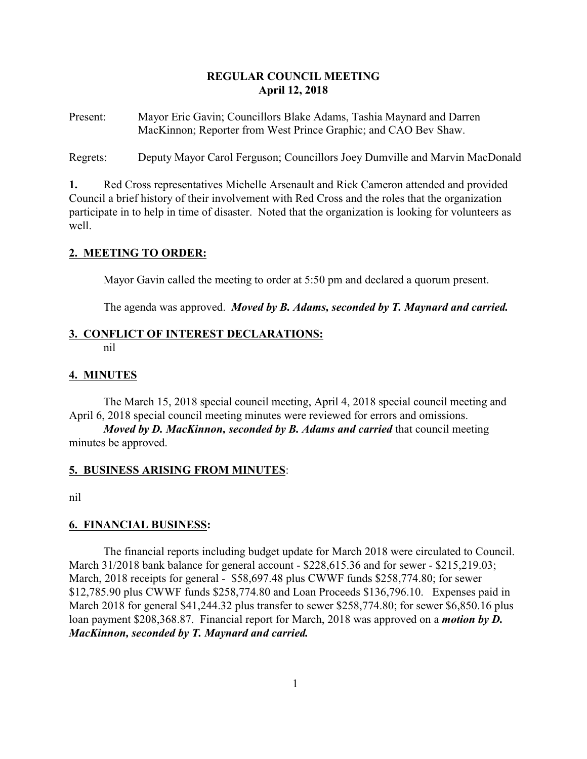# **REGULAR COUNCIL MEETING April 12, 2018**

Present: Mayor Eric Gavin; Councillors Blake Adams, Tashia Maynard and Darren MacKinnon; Reporter from West Prince Graphic; and CAO Bev Shaw.

Regrets: Deputy Mayor Carol Ferguson; Councillors Joey Dumville and Marvin MacDonald

**1.** Red Cross representatives Michelle Arsenault and Rick Cameron attended and provided Council a brief history of their involvement with Red Cross and the roles that the organization participate in to help in time of disaster. Noted that the organization is looking for volunteers as well.

# **2. MEETING TO ORDER:**

Mayor Gavin called the meeting to order at 5:50 pm and declared a quorum present.

The agenda was approved. *Moved by B. Adams, seconded by T. Maynard and carried.*

# **3. CONFLICT OF INTEREST DECLARATIONS:**

nil

# **4. MINUTES**

The March 15, 2018 special council meeting, April 4, 2018 special council meeting and April 6, 2018 special council meeting minutes were reviewed for errors and omissions.

*Moved by D. MacKinnon, seconded by B. Adams and carried* that council meeting minutes be approved.

# **5. BUSINESS ARISING FROM MINUTES**:

nil

# **6. FINANCIAL BUSINESS:**

The financial reports including budget update for March 2018 were circulated to Council. March 31/2018 bank balance for general account - \$228,615.36 and for sewer - \$215,219.03; March, 2018 receipts for general - \$58,697.48 plus CWWF funds \$258,774.80; for sewer \$12,785.90 plus CWWF funds \$258,774.80 and Loan Proceeds \$136,796.10. Expenses paid in March 2018 for general \$41,244.32 plus transfer to sewer \$258,774.80; for sewer \$6,850.16 plus loan payment \$208,368.87. Financial report for March, 2018 was approved on a *motion by D. MacKinnon, seconded by T. Maynard and carried.*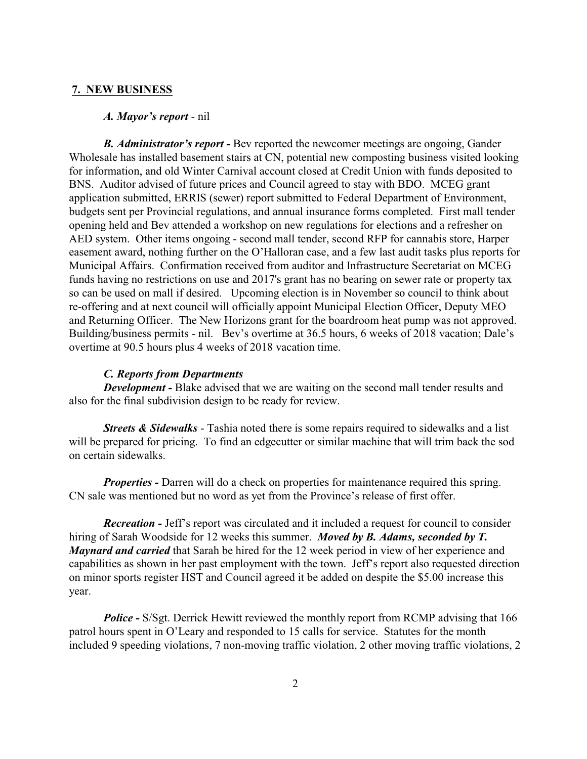## **7. NEW BUSINESS**

#### *A. Mayor's report* - nil

*B. Administrator's report -* Bev reported the newcomer meetings are ongoing, Gander Wholesale has installed basement stairs at CN, potential new composting business visited looking for information, and old Winter Carnival account closed at Credit Union with funds deposited to BNS. Auditor advised of future prices and Council agreed to stay with BDO. MCEG grant application submitted, ERRIS (sewer) report submitted to Federal Department of Environment, budgets sent per Provincial regulations, and annual insurance forms completed. First mall tender opening held and Bev attended a workshop on new regulations for elections and a refresher on AED system. Other items ongoing - second mall tender, second RFP for cannabis store, Harper easement award, nothing further on the O'Halloran case, and a few last audit tasks plus reports for Municipal Affairs. Confirmation received from auditor and Infrastructure Secretariat on MCEG funds having no restrictions on use and 2017's grant has no bearing on sewer rate or property tax so can be used on mall if desired. Upcoming election is in November so council to think about re-offering and at next council will officially appoint Municipal Election Officer, Deputy MEO and Returning Officer. The New Horizons grant for the boardroom heat pump was not approved. Building/business permits - nil. Bev's overtime at 36.5 hours, 6 weeks of 2018 vacation; Dale's overtime at 90.5 hours plus 4 weeks of 2018 vacation time.

# *C. Reports from Departments*

*Development* - Blake advised that we are waiting on the second mall tender results and also for the final subdivision design to be ready for review.

*Streets & Sidewalks* - Tashia noted there is some repairs required to sidewalks and a list will be prepared for pricing. To find an edgecutter or similar machine that will trim back the sod on certain sidewalks.

*Properties - Darren will do a check on properties for maintenance required this spring.* CN sale was mentioned but no word as yet from the Province's release of first offer.

*Recreation -* Jeff's report was circulated and it included a request for council to consider hiring of Sarah Woodside for 12 weeks this summer. *Moved by B. Adams, seconded by T. Maynard and carried* that Sarah be hired for the 12 week period in view of her experience and capabilities as shown in her past employment with the town. Jeff's report also requested direction on minor sports register HST and Council agreed it be added on despite the \$5.00 increase this year.

*Police -* S/Sgt. Derrick Hewitt reviewed the monthly report from RCMP advising that 166 patrol hours spent in O'Leary and responded to 15 calls for service. Statutes for the month included 9 speeding violations, 7 non-moving traffic violation, 2 other moving traffic violations, 2